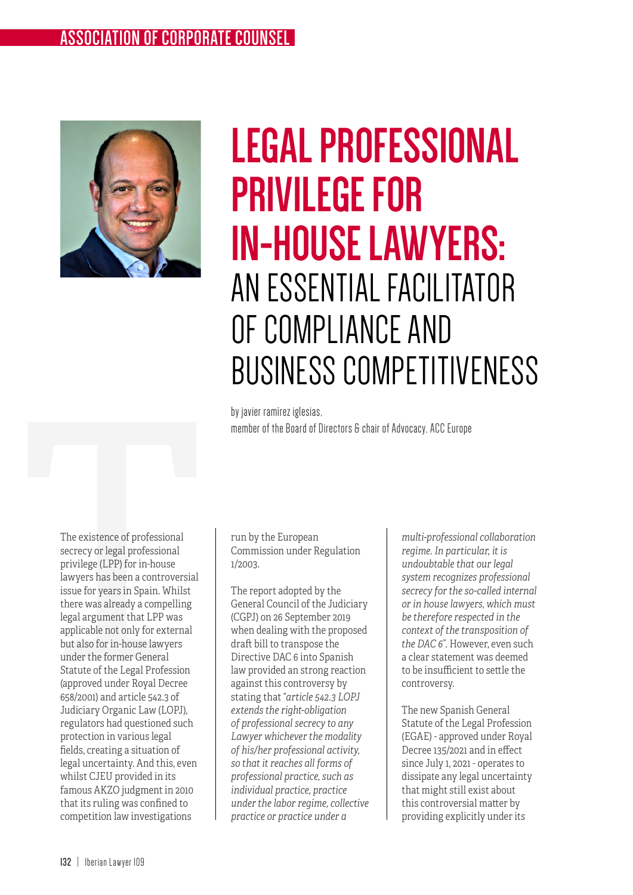## ASSOCIATION OF CORPORATE COUNSEL **ASSOCIATION OF CORPORATE COUNSEL**



## **LEGAL PROFESSIONAL PRIVILEGE FOR IN-HOUSE LAWYERS:**  AN ESSENTIAL FACILITATOR OF COMPLIANCE AND BUSINESS COMPETITIVENESS

by javier ramírez iglesias, member of the Board of Directors & chair of Advocacy, ACC Europe

by javier ramirez iglesias<br>
member of the Board of I<br>
member of the Board of I<br>
secrecy or legal professional<br>
privilege (LPP) for in-house<br>
lawyers has been a controversial<br>
issue for years in Spain. Whilst<br>
there was alr The existence of professional secrecy or legal professional privilege (LPP) for in-house lawyers has been a controversial issue for years in Spain. Whilst there was already a compelling legal argument that LPP was applicable not only for external but also for in-house lawyers under the former General Statute of the Legal Profession (approved under Royal Decree 658/2001) and article 542.3 of Judiciary Organic Law (LOPJ), regulators had questioned such protection in various legal fields, creating a situation of legal uncertainty. And this, even whilst CJEU provided in its famous AKZO judgment in 2010 that its ruling was confined to competition law investigations

Commission under Regulation 1/2003.

The report adopted by the General Council of the Judiciary (CGPJ) on 26 September 2019 when dealing with the proposed draft bill to transpose the Directive DAC 6 into Spanish law provided an strong reaction against this controversy by stating that "*article 542.3 LOPJ extends the right-obligation of professional secrecy to any Lawyer whichever the modality of his/her professional activity, so that it reaches all forms of professional practice, such as individual practice, practice under the labor regime, collective practice or practice under a* 

*multi-professional collaboration regime. In particular, it is undoubtable that our legal system recognizes professional secrecy for the so-called internal or in house lawyers, which must be therefore respected in the context of the transposition of the DAC 6*". However, even such a clear statement was deemed to be insufficient to settle the controversy.

The new Spanish General Statute of the Legal Profession (EGAE) - approved under Royal Decree 135/2021 and in effect since July 1, 2021 - operates to dissipate any legal uncertainty that might still exist about this controversial matter by providing explicitly under its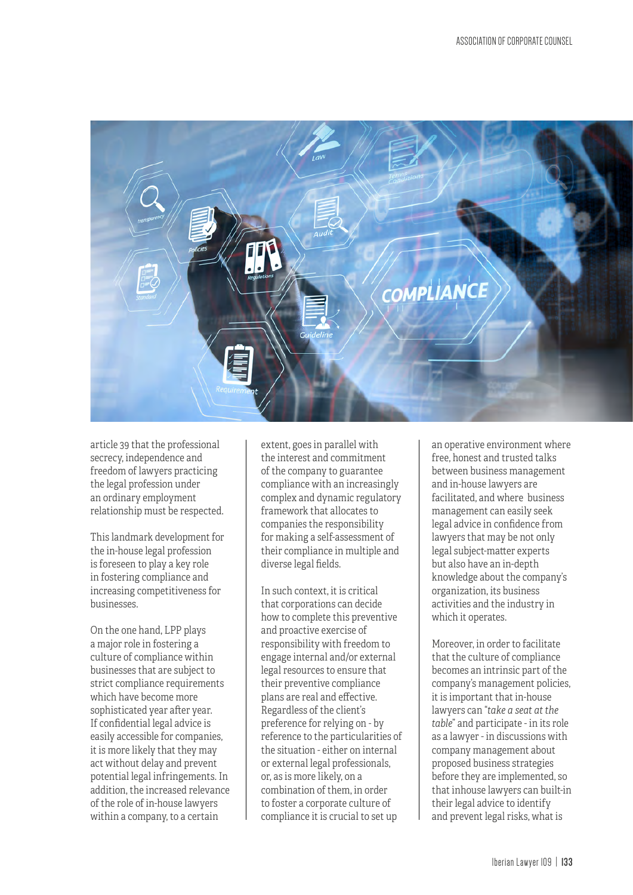

article 39 that the professional secrecy, independence and freedom of lawyers practicing the legal profession under an ordinary employment relationship must be respected.

This landmark development for the in-house legal profession is foreseen to play a key role in fostering compliance and increasing competitiveness for businesses.

On the one hand, LPP plays a major role in fostering a culture of compliance within businesses that are subject to strict compliance requirements which have become more sophisticated year after year. If confidential legal advice is easily accessible for companies, it is more likely that they may act without delay and prevent potential legal infringements. In addition, the increased relevance of the role of in-house lawyers within a company, to a certain

extent, goes in parallel with the interest and commitment of the company to guarantee compliance with an increasingly complex and dynamic regulatory framework that allocates to companies the responsibility for making a self-assessment of their compliance in multiple and diverse legal fields.

In such context, it is critical that corporations can decide how to complete this preventive and proactive exercise of responsibility with freedom to engage internal and/or external legal resources to ensure that their preventive compliance plans are real and effective. Regardless of the client's preference for relying on - by reference to the particularities of the situation - either on internal or external legal professionals, or, as is more likely, on a combination of them, in order to foster a corporate culture of compliance it is crucial to set up

an operative environment where free, honest and trusted talks between business management and in-house lawyers are facilitated, and where business management can easily seek legal advice in confidence from lawyers that may be not only legal subject-matter experts but also have an in-depth knowledge about the company's organization, its business activities and the industry in which it operates.

Moreover, in order to facilitate that the culture of compliance becomes an intrinsic part of the company's management policies, it is important that in-house lawyers can "*take a seat at the table*" and participate - in its role as a lawyer - in discussions with company management about proposed business strategies before they are implemented, so that inhouse lawyers can built-in their legal advice to identify and prevent legal risks, what is